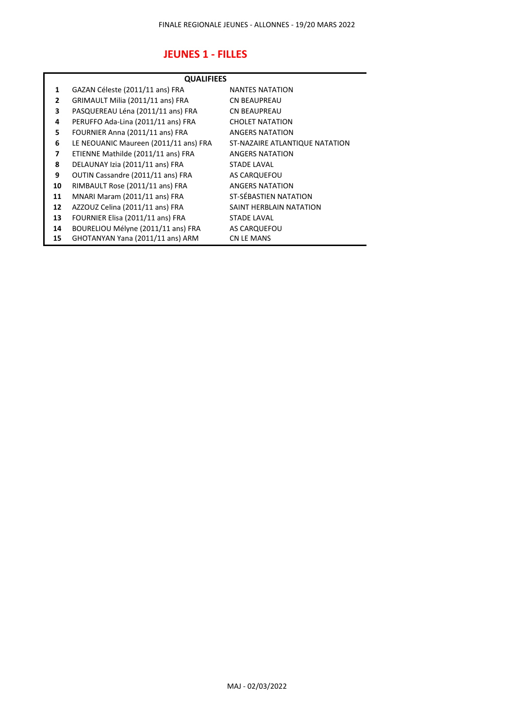## **JEUNES 1 - FILLES**

| <b>QUALIFIEES</b> |                                       |                                |  |
|-------------------|---------------------------------------|--------------------------------|--|
| 1                 | GAZAN Céleste (2011/11 ans) FRA       | <b>NANTES NATATION</b>         |  |
| 2                 | GRIMAULT Milia (2011/11 ans) FRA      | <b>CN BEAUPREAU</b>            |  |
| 3                 | PASQUEREAU Léna (2011/11 ans) FRA     | <b>CN BEAUPREAU</b>            |  |
| 4                 | PERUFFO Ada-Lina (2011/11 ans) FRA    | <b>CHOLET NATATION</b>         |  |
| 5                 | FOURNIER Anna (2011/11 ans) FRA       | <b>ANGERS NATATION</b>         |  |
| 6                 | LE NEOUANIC Maureen (2011/11 ans) FRA | ST-NAZAIRE ATLANTIQUE NATATION |  |
| 7                 | ETIENNE Mathilde (2011/11 ans) FRA    | ANGERS NATATION                |  |
| 8                 | DELAUNAY Izia (2011/11 ans) FRA       | <b>STADE LAVAL</b>             |  |
| 9                 | OUTIN Cassandre (2011/11 ans) FRA     | AS CARQUEFOU                   |  |
| 10                | RIMBAULT Rose (2011/11 ans) FRA       | <b>ANGERS NATATION</b>         |  |
| 11                | MNARI Maram (2011/11 ans) FRA         | ST-SÉBASTIEN NATATION          |  |
| 12                | AZZOUZ Celina (2011/11 ans) FRA       | SAINT HERBLAIN NATATION        |  |
| 13                | FOURNIER Elisa (2011/11 ans) FRA      | <b>STADE LAVAL</b>             |  |
| 14                | BOURELIOU Mélyne (2011/11 ans) FRA    | AS CARQUEFOU                   |  |
| 15                | GHOTANYAN Yana (2011/11 ans) ARM      | <b>CN LE MANS</b>              |  |
|                   |                                       |                                |  |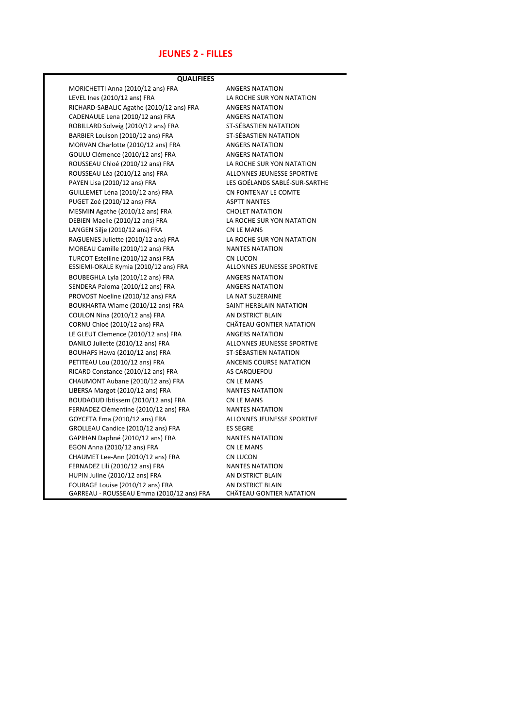### **JEUNES 2 - FILLES**

**QUALIFIEES**

MORICHETTI Anna (2010/12 ans) FRA ANGERS NATATION LEVEL Ines (2010/12 ans) FRA LA ROCHE SUR YON NATATION RICHARD-SABALIC Agathe (2010/12 ans) FRA ANGERS NATATION CADENAULE Lena (2010/12 ans) FRA ANGERS NATATION ROBILLARD Solveig (2010/12 ans) FRA ST-SÉBASTIEN NATATION BARBIER Louison (2010/12 ans) FRA ST-SÉBASTIEN NATATION MORVAN Charlotte (2010/12 ans) FRA ANGERS NATATION GOULU Clémence (2010/12 ans) FRA ANGERS NATATION ROUSSEAU Chloé (2010/12 ans) FRA LA ROCHE SUR YON NATATION ROUSSEAU Léa (2010/12 ans) FRA ALLONNES JEUNESSE SPORTIVE PAYEN Lisa (2010/12 ans) FRA LES GOÉLANDS SABLÉ-SUR-SARTHE GUILLEMET Léna (2010/12 ans) FRA CN FONTENAY LE COMTE PUGET Zoé (2010/12 ans) FRA ASPTT NANTES MESMIN Agathe (2010/12 ans) FRA CHOLET NATATION DEBIEN Maelie (2010/12 ans) FRA LA ROCHE SUR YON NATATION LANGEN Silje (2010/12 ans) FRA CN LE MANS RAGUENES Juliette (2010/12 ans) FRA LA ROCHE SUR YON NATATION MOREAU Camille (2010/12 ans) FRA NANTES NATATION TURCOT Estelline (2010/12 ans) FRA CN LUCON<br>
ESSIEMI-OKALE Kymia (2010/12 ans) FRA ALLONNES JEUNESSE SPORTIVE ESSIEMI-OKALE Kymia (2010/12 ans) FRA BOUBEGHLA Lyla (2010/12 ans) FRA ANGERS NATATION SENDERA Paloma (2010/12 ans) FRA ANGERS NATATION PROVOST Noeline (2010/12 ans) FRA LA NAT SUZERAINE BOUKHARTA Wiame (2010/12 ans) FRA SAINT HERBLAIN NATATION COULON Nina (2010/12 ans) FRA AN DISTRICT BLAIN CORNU Chloé (2010/12 ans) FRA CHÂTEAU GONTIER NATATION LE GLEUT Clemence (2010/12 ans) FRA ANGERS NATATION DANILO Juliette (2010/12 ans) FRA ALLONNES JEUNESSE SPORTIVE BOUHAFS Hawa (2010/12 ans) FRA ST-SÉBASTIEN NATATION PETITEAU Lou (2010/12 ans) FRA ANCENIS COURSE NATATION RICARD Constance (2010/12 ans) FRA AS CARQUEFOU CHAUMONT Aubane (2010/12 ans) FRA CN LE MANS LIBERSA Margot (2010/12 ans) FRA NANTES NATATION BOUDAOUD Ibtissem (2010/12 ans) FRA CN LE MANS FERNADEZ Clémentine (2010/12 ans) FRA NANTES NATATION GOYCETA Ema (2010/12 ans) FRA ALLONNES JEUNESSE SPORTIVE GROLLEAU Candice (2010/12 ans) FRA ES SEGRE GAPIHAN Daphné (2010/12 ans) FRA NANTES NATATION EGON Anna (2010/12 ans) FRA CN LE MANS CHAUMET Lee-Ann (2010/12 ans) FRA CN LUCON FERNADEZ Lili (2010/12 ans) FRA NANTES NATATION HUPIN Juline (2010/12 ans) FRA AN DISTRICT BLAIN FOURAGE Louise (2010/12 ans) FRA AN DISTRICT BLAIN GARREAU - ROUSSEAU Emma (2010/12 ans) FRA CHÂTEAU GONTIER NATATION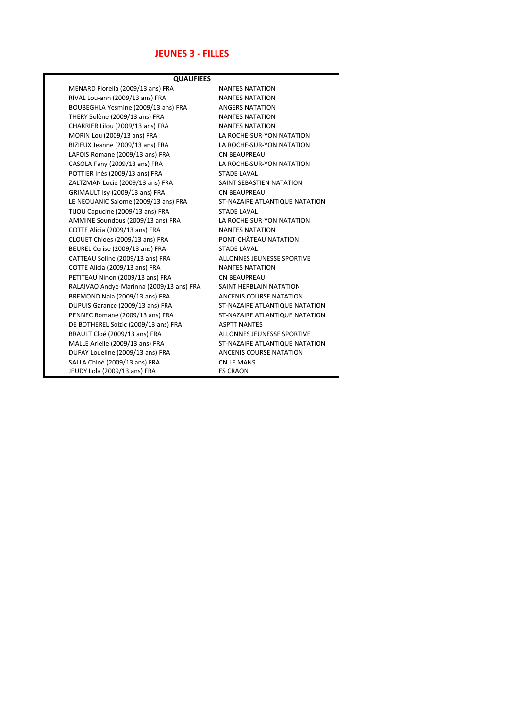## **JEUNES 3 - FILLES**

| <b>QUALIFIEES</b>                        |                                |  |  |
|------------------------------------------|--------------------------------|--|--|
| MENARD Fiorella (2009/13 ans) FRA        | <b>NANTES NATATION</b>         |  |  |
| RIVAL Lou-ann (2009/13 ans) FRA          | <b>NANTES NATATION</b>         |  |  |
| BOUBEGHLA Yesmine (2009/13 ans) FRA      | <b>ANGERS NATATION</b>         |  |  |
| THERY Solène (2009/13 ans) FRA           | <b>NANTES NATATION</b>         |  |  |
| CHARRIER Lilou (2009/13 ans) FRA         | <b>NANTES NATATION</b>         |  |  |
| MORIN Lou (2009/13 ans) FRA              | LA ROCHE-SUR-YON NATATION      |  |  |
| BIZIEUX Jeanne (2009/13 ans) FRA         | LA ROCHE-SUR-YON NATATION      |  |  |
| LAFOIS Romane (2009/13 ans) FRA          | <b>CN BEAUPREAU</b>            |  |  |
| CASOLA Fany (2009/13 ans) FRA            | LA ROCHE-SUR-YON NATATION      |  |  |
| POTTIER Inès (2009/13 ans) FRA           | <b>STADE LAVAL</b>             |  |  |
| ZALTZMAN Lucie (2009/13 ans) FRA         | SAINT SEBASTIEN NATATION       |  |  |
| GRIMAULT Isy (2009/13 ans) FRA           | <b>CN BEAUPREAU</b>            |  |  |
| LE NEOUANIC Salome (2009/13 ans) FRA     | ST-NAZAIRE ATLANTIQUE NATATION |  |  |
| TIJOU Capucine (2009/13 ans) FRA         | <b>STADE LAVAL</b>             |  |  |
| AMMINE Soundous (2009/13 ans) FRA        | LA ROCHE-SUR-YON NATATION      |  |  |
| COTTE Alicia (2009/13 ans) FRA           | <b>NANTES NATATION</b>         |  |  |
| CLOUET Chloes (2009/13 ans) FRA          | PONT-CHÂTEAU NATATION          |  |  |
| BEUREL Cerise (2009/13 ans) FRA          | <b>STADE LAVAL</b>             |  |  |
| CATTEAU Soline (2009/13 ans) FRA         | ALLONNES JEUNESSE SPORTIVE     |  |  |
| COTTE Alicia (2009/13 ans) FRA           | <b>NANTES NATATION</b>         |  |  |
| PETITEAU Ninon (2009/13 ans) FRA         | <b>CN BEAUPREAU</b>            |  |  |
| RALAIVAO Andye-Marinna (2009/13 ans) FRA | SAINT HERBLAIN NATATION        |  |  |
| BREMOND Naia (2009/13 ans) FRA           | ANCENIS COURSE NATATION        |  |  |
| DUPUIS Garance (2009/13 ans) FRA         | ST-NAZAIRE ATLANTIQUE NATATION |  |  |
| PENNEC Romane (2009/13 ans) FRA          | ST-NAZAIRE ATLANTIQUE NATATION |  |  |
| DE BOTHEREL Soizic (2009/13 ans) FRA     | <b>ASPTT NANTES</b>            |  |  |
| BRAULT Cloé (2009/13 ans) FRA            | ALLONNES JEUNESSE SPORTIVE     |  |  |
| MALLE Arielle (2009/13 ans) FRA          | ST-NAZAIRE ATLANTIQUE NATATION |  |  |
| DUFAY Loueline (2009/13 ans) FRA         | ANCENIS COURSE NATATION        |  |  |
| SALLA Chloé (2009/13 ans) FRA            | <b>CN LE MANS</b>              |  |  |
| JEUDY Lola (2009/13 ans) FRA             | <b>ES CRAON</b>                |  |  |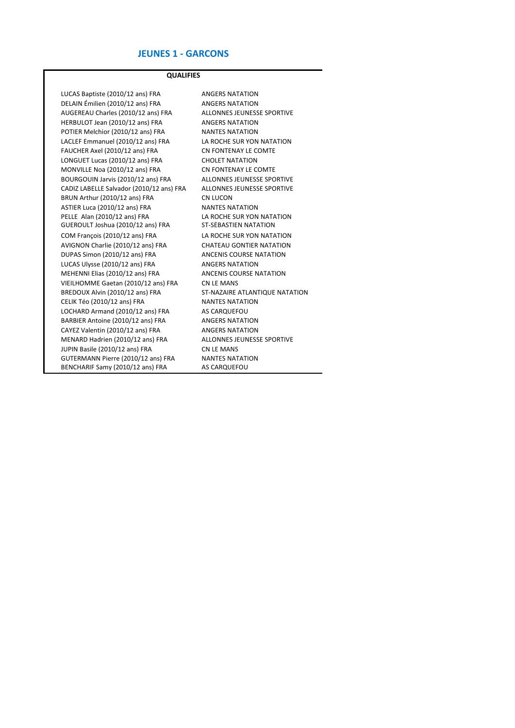#### **JEUNES 1 - GARCONS**

#### **QUALIFIES**

LUCAS Baptiste (2010/12 ans) FRA ANGERS NATATION DELAIN Émilien (2010/12 ans) FRA ANGERS NATATION AUGEREAU Charles (2010/12 ans) FRA ALLONNES JEUNESSE SPORTIVE HERBULOT Jean (2010/12 ans) FRA ANGERS NATATION POTIER Melchior (2010/12 ans) FRA NANTES NATATION LACLEF Emmanuel (2010/12 ans) FRA LA ROCHE SUR YON NATATION FAUCHER Axel (2010/12 ans) FRA CN FONTENAY LE COMTE LONGUET Lucas (2010/12 ans) FRA CHOLET NATATION MONVILLE Noa (2010/12 ans) FRA CN FONTENAY LE COMTE BOURGOUIN Jarvis (2010/12 ans) FRA ALLONNES JEUNESSE SPORTIVE CADIZ LABELLE Salvador (2010/12 ans) FRA ALLONNES JEUNESSE SPORTIVE BRUN Arthur (2010/12 ans) FRA CN LUCON ASTIER Luca (2010/12 ans) FRA NANTES NATATION PELLE Alan (2010/12 ans) FRA LA ROCHE SUR YON NATATION<br>GUEROULT Joshua (2010/12 ans) FRA ST-SÉBASTIEN NATATION GUEROULT Joshua (2010/12 ans) FRA COM François (2010/12 ans) FRA LA ROCHE SUR YON NATATION AVIGNON Charlie (2010/12 ans) FRA CHATEAU GONTIER NATATION DUPAS Simon (2010/12 ans) FRA ANCENIS COURSE NATATION LUCAS Ulysse (2010/12 ans) FRA ANGERS NATATION MEHENNI Elias (2010/12 ans) FRA ANCENIS COURSE NATATION VIEILHOMME Gaetan (2010/12 ans) FRA CN LE MANS BREDOUX Alvin (2010/12 ans) FRA ST-NAZAIRE ATLANTIQUE NATATION<br>CELIK Téo (2010/12 ans) FRA NANTES NATATION CELIK Téo (2010/12 ans) FRA LOCHARD Armand (2010/12 ans) FRA AS CARQUEFOU BARBIER Antoine (2010/12 ans) FRA ANGERS NATATION CAYEZ Valentin (2010/12 ans) FRA ANGERS NATATION MENARD Hadrien (2010/12 ans) FRA ALLONNES JEUNESSE SPORTIVE JUPIN Basile (2010/12 ans) FRA CN LE MANS GUTERMANN Pierre (2010/12 ans) FRA NANTES NATATION<br>BENCHARIF Samy (2010/12 ans) FRA AS CARQUEFOU BENCHARIF Samy (2010/12 ans) FRA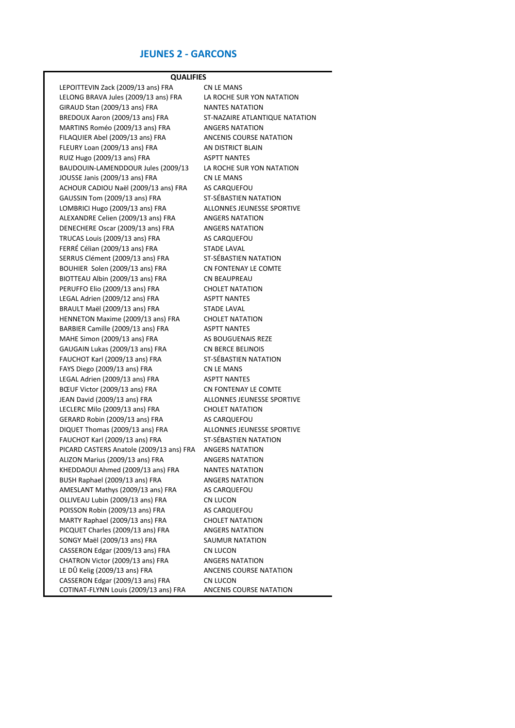### **JEUNES 2 - GARCONS**

LEPOITTEVIN Zack (2009/13 ans) FRA CN LE MANS LELONG BRAVA Jules (2009/13 ans) FRA LA ROCHE SUR YON NATATION GIRAUD Stan (2009/13 ans) FRA NANTES NATATION BREDOUX Aaron (2009/13 ans) FRA ST-NAZAIRE ATLANTIQUE NATATION MARTINS Roméo (2009/13 ans) FRA ANGERS NATATION FILAQUIER Abel (2009/13 ans) FRA ANCENIS COURSE NATATION FLEURY Loan (2009/13 ans) FRA AN DISTRICT BLAIN RUIZ Hugo (2009/13 ans) FRA ASPTT NANTES BAUDOUIN-LAMENDDOUR Jules (2009/13 LA ROCHE SUR YON NATATION JOUSSE Janis (2009/13 ans) FRA CN LE MANS ACHOUR CADIOU Naël (2009/13 ans) FRA AS CARQUEFOU GAUSSIN Tom (2009/13 ans) FRA ST-SÉBASTIEN NATATION LOMBRICI Hugo (2009/13 ans) FRA ALLONNES JEUNESSE SPORTIVE ALEXANDRE Celien (2009/13 ans) FRA ANGERS NATATION DENECHERE Oscar (2009/13 ans) FRA ANGERS NATATION TRUCAS Louis (2009/13 ans) FRA AS CARQUEFOU FERRÉ Célian (2009/13 ans) FRA STADE LAVAL SERRUS Clément (2009/13 ans) FRA ST-SÉBASTIEN NATATION BOUHIER Solen (2009/13 ans) FRA CN FONTENAY LE COMTE BIOTTEAU Albin (2009/13 ans) FRA CN BEAUPREAU PERUFFO Elio (2009/13 ans) FRA CHOLET NATATION LEGAL Adrien (2009/12 ans) FRA ASPTT NANTES BRAULT Maël (2009/13 ans) FRA STADE LAVAL HENNETON Maxime (2009/13 ans) FRA CHOLET NATATION BARBIER Camille (2009/13 ans) FRA ASPTT NANTES MAHE Simon (2009/13 ans) FRA AS BOUGUENAIS REZE GAUGAIN Lukas (2009/13 ans) FRA CN BERCE BELINOIS FAUCHOT Karl (2009/13 ans) FRA ST-SÉBASTIEN NATATION FAYS Diego (2009/13 ans) FRA CN LE MANS LEGAL Adrien (2009/13 ans) FRA ASPTT NANTES BŒUF Victor (2009/13 ans) FRA CN FONTENAY LE COMTE JEAN David (2009/13 ans) FRA ALLONNES JEUNESSE SPORTIVE LECLERC Milo (2009/13 ans) FRA CHOLET NATATION GERARD Robin (2009/13 ans) FRA AS CARQUEFOU DIQUET Thomas (2009/13 ans) FRA ALLONNES JEUNESSE SPORTIVE FAUCHOT Karl (2009/13 ans) FRA ST-SÉBASTIEN NATATION PICARD CASTERS Anatole (2009/13 ans) FRA ANGERS NATATION ALIZON Marius (2009/13 ans) FRA ANGERS NATATION KHEDDAOUI Ahmed (2009/13 ans) FRA NANTES NATATION BUSH Raphael (2009/13 ans) FRA ANGERS NATATION AMESLANT Mathys (2009/13 ans) FRA AS CARQUEFOU OLLIVEAU Lubin (2009/13 ans) FRA CN LUCON POISSON Robin (2009/13 ans) FRA AS CARQUEFOU MARTY Raphael (2009/13 ans) FRA CHOLET NATATION PICQUET Charles (2009/13 ans) FRA ANGERS NATATION SONGY Maël (2009/13 ans) FRA SAUMUR NATATION CASSERON Edgar (2009/13 ans) FRA CN LUCON CHATRON Victor (2009/13 ans) FRA ANGERS NATATION LE DÛ Kelig (2009/13 ans) FRA ANCENIS COURSE NATATION CASSERON Edgar (2009/13 ans) FRA CN LUCON COTINAT-FLYNN Louis (2009/13 ans) FRA ANCENIS COURSE NATATION **QUALIFIES**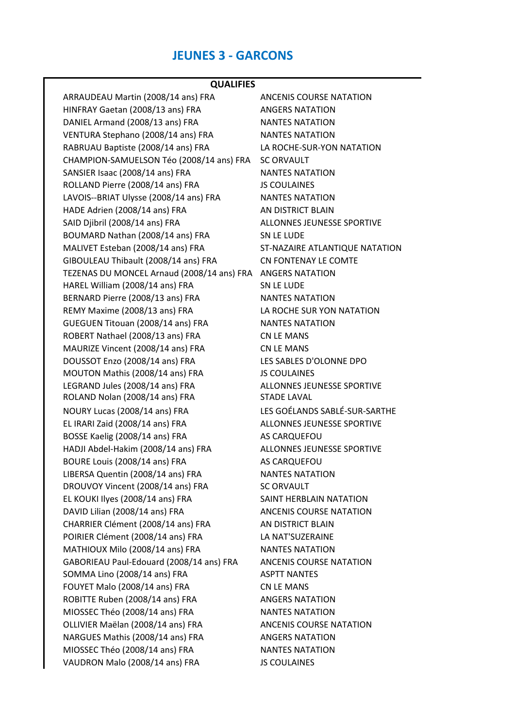# **JEUNES 3 - GARCONS**

# **QUALIFIES**

| ARRAUDEAU Martin (2008/14 ans) FRA         | <b>ANCENIS COURSE NATATION</b> |
|--------------------------------------------|--------------------------------|
| HINFRAY Gaetan (2008/13 ans) FRA           | <b>ANGERS NATATION</b>         |
| DANIEL Armand (2008/13 ans) FRA            | <b>NANTES NATATION</b>         |
| VENTURA Stephano (2008/14 ans) FRA         | <b>NANTES NATATION</b>         |
| RABRUAU Baptiste (2008/14 ans) FRA         | LA ROCHE-SUR-YON NATATION      |
| CHAMPION-SAMUELSON Téo (2008/14 ans) FRA   | <b>SC ORVAULT</b>              |
| SANSIER Isaac (2008/14 ans) FRA            | <b>NANTES NATATION</b>         |
| ROLLAND Pierre (2008/14 ans) FRA           | <b>JS COULAINES</b>            |
| LAVOIS--BRIAT Ulysse (2008/14 ans) FRA     | <b>NANTES NATATION</b>         |
| HADE Adrien (2008/14 ans) FRA              | AN DISTRICT BLAIN              |
| SAID Djibril (2008/14 ans) FRA             | ALLONNES JEUNESSE SPORTIVE     |
| BOUMARD Nathan (2008/14 ans) FRA           | SN LE LUDE                     |
| MALIVET Esteban (2008/14 ans) FRA          | ST-NAZAIRE ATLANTIQUE NATATION |
| GIBOULEAU Thibault (2008/14 ans) FRA       | CN FONTENAY LE COMTE           |
| TEZENAS DU MONCEL Arnaud (2008/14 ans) FRA | <b>ANGERS NATATION</b>         |
| HAREL William (2008/14 ans) FRA            | SN LE LUDE                     |
| BERNARD Pierre (2008/13 ans) FRA           | <b>NANTES NATATION</b>         |
| REMY Maxime (2008/13 ans) FRA              | LA ROCHE SUR YON NATATION      |
| GUEGUEN Titouan (2008/14 ans) FRA          | <b>NANTES NATATION</b>         |
| ROBERT Nathael (2008/13 ans) FRA           | <b>CN LE MANS</b>              |
| MAURIZE Vincent (2008/14 ans) FRA          | <b>CN LE MANS</b>              |
| DOUSSOT Enzo (2008/14 ans) FRA             | LES SABLES D'OLONNE DPO        |
| MOUTON Mathis (2008/14 ans) FRA            | <b>JS COULAINES</b>            |
| LEGRAND Jules (2008/14 ans) FRA            | ALLONNES JEUNESSE SPORTIVE     |
| ROLAND Nolan (2008/14 ans) FRA             | <b>STADE LAVAL</b>             |
| NOURY Lucas (2008/14 ans) FRA              | LES GOÉLANDS SABLÉ-SUR-SARTHE  |
| EL IRARI Zaid (2008/14 ans) FRA            | ALLONNES JEUNESSE SPORTIVE     |
| BOSSE Kaelig (2008/14 ans) FRA             | AS CARQUEFOU                   |
| HADJI Abdel-Hakim (2008/14 ans) FRA        | ALLONNES JEUNESSE SPORTIVE     |
| BOURE Louis (2008/14 ans) FRA              | AS CARQUEFOU                   |
| LIBERSA Quentin (2008/14 ans) FRA          | <b>NANTES NATATION</b>         |
| DROUVOY Vincent (2008/14 ans) FRA          | <b>SC ORVAULT</b>              |
| EL KOUKI Ilyes (2008/14 ans) FRA           | SAINT HERBLAIN NATATION        |
| DAVID Lilian (2008/14 ans) FRA             | <b>ANCENIS COURSE NATATION</b> |
| CHARRIER Clément (2008/14 ans) FRA         | AN DISTRICT BLAIN              |
| POIRIER Clément (2008/14 ans) FRA          | LA NAT'SUZERAINE               |
| MATHIOUX Milo (2008/14 ans) FRA            | <b>NANTES NATATION</b>         |
| GABORIEAU Paul-Edouard (2008/14 ans) FRA   | ANCENIS COURSE NATATION        |
| SOMMA Lino (2008/14 ans) FRA               | <b>ASPTT NANTES</b>            |
| FOUYET Malo (2008/14 ans) FRA              | <b>CN LE MANS</b>              |
| ROBITTE Ruben (2008/14 ans) FRA            | <b>ANGERS NATATION</b>         |
| MIOSSEC Théo (2008/14 ans) FRA             | <b>NANTES NATATION</b>         |
| OLLIVIER Maëlan (2008/14 ans) FRA          | ANCENIS COURSE NATATION        |
| NARGUES Mathis (2008/14 ans) FRA           | <b>ANGERS NATATION</b>         |
| MIOSSEC Théo (2008/14 ans) FRA             | <b>NANTES NATATION</b>         |
| VAUDRON Malo (2008/14 ans) FRA             | <b>JS COULAINES</b>            |
|                                            |                                |